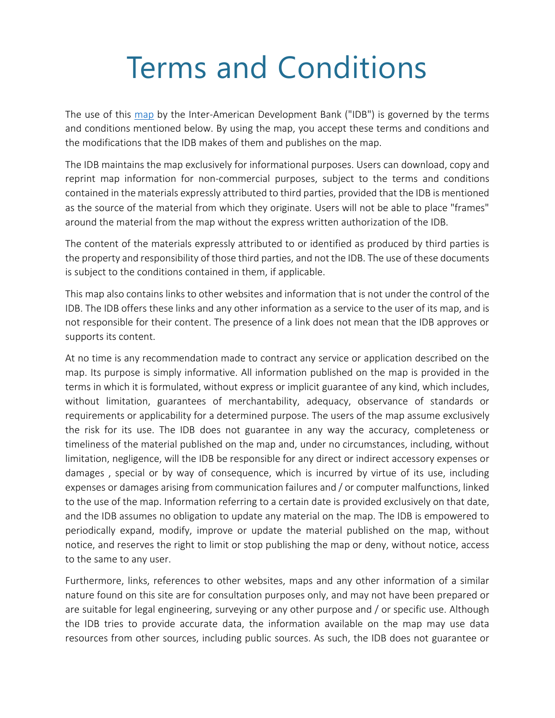## Terms and Conditions

The use of this [map](https://bidlab.org/en/map-LAC-innovators-Covid-19) by the Inter-American Development Bank ("IDB") is governed by the terms and conditions mentioned below. By using the map, you accept these terms and conditions and the modifications that the IDB makes of them and publishes on the map.

The IDB maintains the map exclusively for informational purposes. Users can download, copy and reprint map information for non-commercial purposes, subject to the terms and conditions contained in the materials expressly attributed to third parties, provided that the IDB is mentioned as the source of the material from which they originate. Users will not be able to place "frames" around the material from the map without the express written authorization of the IDB.

The content of the materials expressly attributed to or identified as produced by third parties is the property and responsibility of those third parties, and not the IDB. The use of these documents is subject to the conditions contained in them, if applicable.

This map also contains links to other websites and information that is not under the control of the IDB. The IDB offers these links and any other information as a service to the user of its map, and is not responsible for their content. The presence of a link does not mean that the IDB approves or supports its content.

At no time is any recommendation made to contract any service or application described on the map. Its purpose is simply informative. All information published on the map is provided in the terms in which it is formulated, without express or implicit guarantee of any kind, which includes, without limitation, guarantees of merchantability, adequacy, observance of standards or requirements or applicability for a determined purpose. The users of the map assume exclusively the risk for its use. The IDB does not guarantee in any way the accuracy, completeness or timeliness of the material published on the map and, under no circumstances, including, without limitation, negligence, will the IDB be responsible for any direct or indirect accessory expenses or damages , special or by way of consequence, which is incurred by virtue of its use, including expenses or damages arising from communication failures and / or computer malfunctions, linked to the use of the map. Information referring to a certain date is provided exclusively on that date, and the IDB assumes no obligation to update any material on the map. The IDB is empowered to periodically expand, modify, improve or update the material published on the map, without notice, and reserves the right to limit or stop publishing the map or deny, without notice, access to the same to any user.

Furthermore, links, references to other websites, maps and any other information of a similar nature found on this site are for consultation purposes only, and may not have been prepared or are suitable for legal engineering, surveying or any other purpose and / or specific use. Although the IDB tries to provide accurate data, the information available on the map may use data resources from other sources, including public sources. As such, the IDB does not guarantee or